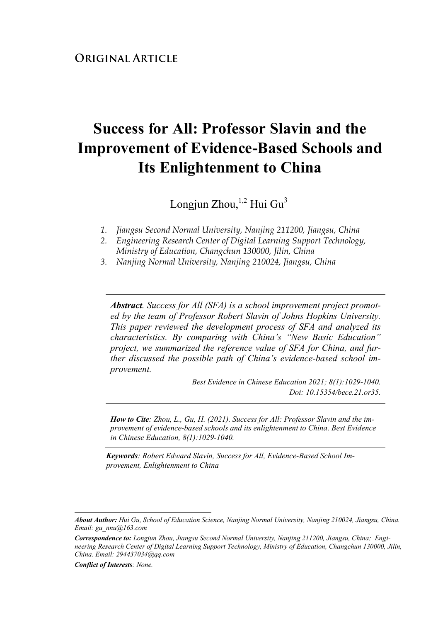# **Success for All: Professor Slavin and the Improvement of Evidence-Based Schools and Its Enlightenment to China**

Longjun Zhou,  $^{1,2}$  Hui Gu<sup>3</sup>

- *1. Jiangsu Second Normal University, Nanjing 211200, Jiangsu, China*
- *2. Engineering Research Center of Digital Learning Support Technology, Ministry of Education, Changchun 130000, Jilin, China*
- *3. Nanjing Normal University, Nanjing 210024, Jiangsu, China*

*Abstract. Success for All (SFA) is a school improvement project promoted by the team of Professor Robert Slavin of Johns Hopkins University. This paper reviewed the development process of SFA and analyzed its characteristics. By comparing with China's "New Basic Education" project, we summarized the reference value of SFA for China, and further discussed the possible path of China's evidence-based school improvement.*

> *Best Evidence in Chinese Education 2021; 8(1):1029-1040. Doi: 10.15354/bece.21.or35.*

*How to Cite: Zhou, L., Gu, H. (2021). Success for All: Professor Slavin and the improvement of evidence-based schools and its enlightenment to China. Best Evidence in Chinese Education, 8(1):1029-1040.*

*Keywords: Robert Edward Slavin, Success for All, Evidence-Based School Improvement, Enlightenment to China*

*Correspondence to: Longjun Zhou, Jiangsu Second Normal University, Nanjing 211200, Jiangsu, China; Engineering Research Center of Digital Learning Support Technology, Ministry of Education, Changchun 130000, Jilin, China. Email: 294437034@qq.com* 

*Conflict of Interests: None.*

*About Author: Hui Gu, School of Education Science, Nanjing Normal University, Nanjing 210024, Jiangsu, China. Email: gu\_nnu@163.com*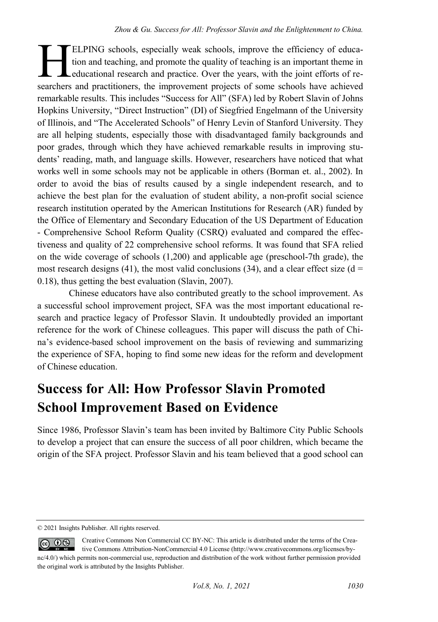ELPING schools, especially weak schools, improve the efficiency of education and teaching, and promote the quality of teaching is an important theme in educational research and practice. Over the years, with the joint efforts of re-ELPING schools, especially weak schools, improve the efficiency of education and teaching, and promote the quality of teaching is an important theme in educational research and practice. Over the years, with the joint effo remarkable results. This includes "Success for All" (SFA) led by Robert Slavin of Johns Hopkins University, "Direct Instruction" (DI) of Siegfried Engelmann of the University of Illinois, and "The Accelerated Schools" of Henry Levin of Stanford University. They are all helping students, especially those with disadvantaged family backgrounds and poor grades, through which they have achieved remarkable results in improving students' reading, math, and language skills. However, researchers have noticed that what works well in some schools may not be applicable in others (Borman et. al., 2002). In order to avoid the bias of results caused by a single independent research, and to achieve the best plan for the evaluation of student ability, a non-profit social science research institution operated by the American Institutions for Research (AR) funded by the Office of Elementary and Secondary Education of the US Department of Education - Comprehensive School Reform Quality (CSRQ) evaluated and compared the effectiveness and quality of 22 comprehensive school reforms. It was found that SFA relied on the wide coverage of schools (1,200) and applicable age (preschool-7th grade), the most research designs (41), the most valid conclusions (34), and a clear effect size ( $d =$ 0.18), thus getting the best evaluation (Slavin, 2007).

Chinese educators have also contributed greatly to the school improvement. As a successful school improvement project, SFA was the most important educational research and practice legacy of Professor Slavin. It undoubtedly provided an important reference for the work of Chinese colleagues. This paper will discuss the path of China's evidence-based school improvement on the basis of reviewing and summarizing the experience of SFA, hoping to find some new ideas for the reform and development of Chinese education.

#### **Success for All: How Professor Slavin Promoted School Improvement Based on Evidence**

Since 1986, Professor Slavin's team has been invited by Baltimore City Public Schools to develop a project that can ensure the success of all poor children, which became the origin of the SFA project. Professor Slavin and his team believed that a good school can

<sup>© 2021</sup> Insights Publisher. All rights reserved.

 $\circledcirc$   $\circledcirc$ Creative Commons Non Commercial CC BY-NC: This article is distributed under the terms of the Creative Commons Attribution-NonCommercial 4.0 License (http://www.creativecommons.org/licenses/bync/4.0/) which permits non-commercial use, reproduction and distribution of the work without further permission provided the original work is attributed by the Insights Publisher.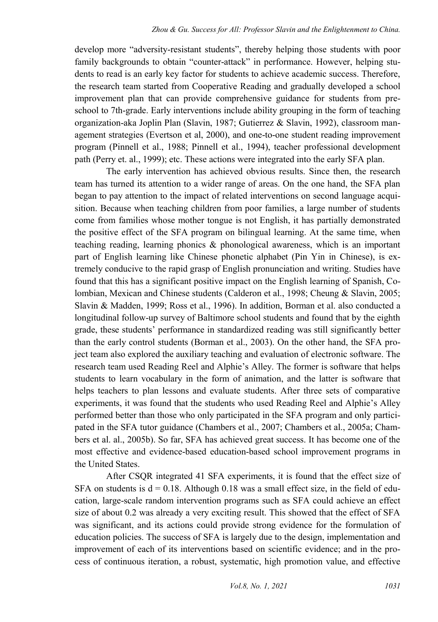develop more "adversity-resistant students", thereby helping those students with poor family backgrounds to obtain "counter-attack" in performance. However, helping students to read is an early key factor for students to achieve academic success. Therefore, the research team started from Cooperative Reading and gradually developed a school improvement plan that can provide comprehensive guidance for students from preschool to 7th-grade. Early interventions include ability grouping in the form of teaching organization-aka Joplin Plan (Slavin, 1987; Gutierrez & Slavin, 1992), classroom management strategies (Evertson et al, 2000), and one-to-one student reading improvement program (Pinnell et al., 1988; Pinnell et al., 1994), teacher professional development path (Perry et. al., 1999); etc. These actions were integrated into the early SFA plan.

The early intervention has achieved obvious results. Since then, the research team has turned its attention to a wider range of areas. On the one hand, the SFA plan began to pay attention to the impact of related interventions on second language acquisition. Because when teaching children from poor families, a large number of students come from families whose mother tongue is not English, it has partially demonstrated the positive effect of the SFA program on bilingual learning. At the same time, when teaching reading, learning phonics & phonological awareness, which is an important part of English learning like Chinese phonetic alphabet (Pin Yin in Chinese), is extremely conducive to the rapid grasp of English pronunciation and writing. Studies have found that this has a significant positive impact on the English learning of Spanish, Colombian, Mexican and Chinese students (Calderon et al., 1998; Cheung & Slavin, 2005; Slavin & Madden, 1999; Ross et al., 1996). In addition, Borman et al. also conducted a longitudinal follow-up survey of Baltimore school students and found that by the eighth grade, these students' performance in standardized reading was still significantly better than the early control students (Borman et al., 2003). On the other hand, the SFA project team also explored the auxiliary teaching and evaluation of electronic software. The research team used Reading Reel and Alphie's Alley. The former is software that helps students to learn vocabulary in the form of animation, and the latter is software that helps teachers to plan lessons and evaluate students. After three sets of comparative experiments, it was found that the students who used Reading Reel and Alphie's Alley performed better than those who only participated in the SFA program and only participated in the SFA tutor guidance (Chambers et al., 2007; Chambers et al., 2005a; Chambers et al. al., 2005b). So far, SFA has achieved great success. It has become one of the most effective and evidence-based education-based school improvement programs in the United States.

After CSQR integrated 41 SFA experiments, it is found that the effect size of SFA on students is  $d = 0.18$ . Although 0.18 was a small effect size, in the field of education, large-scale random intervention programs such as SFA could achieve an effect size of about 0.2 was already a very exciting result. This showed that the effect of SFA was significant, and its actions could provide strong evidence for the formulation of education policies. The success of SFA is largely due to the design, implementation and improvement of each of its interventions based on scientific evidence; and in the process of continuous iteration, a robust, systematic, high promotion value, and effective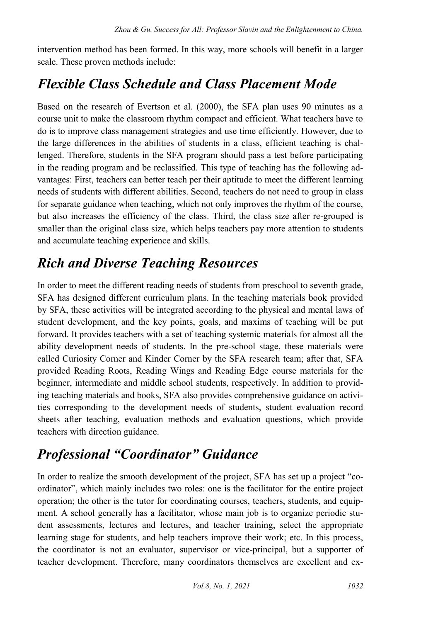intervention method has been formed. In this way, more schools will benefit in a larger scale. These proven methods include:

#### *Flexible Class Schedule and Class Placement Mode*

Based on the research of Evertson et al. (2000), the SFA plan uses 90 minutes as a course unit to make the classroom rhythm compact and efficient. What teachers have to do is to improve class management strategies and use time efficiently. However, due to the large differences in the abilities of students in a class, efficient teaching is challenged. Therefore, students in the SFA program should pass a test before participating in the reading program and be reclassified. This type of teaching has the following advantages: First, teachers can better teach per their aptitude to meet the different learning needs of students with different abilities. Second, teachers do not need to group in class for separate guidance when teaching, which not only improves the rhythm of the course, but also increases the efficiency of the class. Third, the class size after re-grouped is smaller than the original class size, which helps teachers pay more attention to students and accumulate teaching experience and skills.

#### *Rich and Diverse Teaching Resources*

In order to meet the different reading needs of students from preschool to seventh grade, SFA has designed different curriculum plans. In the teaching materials book provided by SFA, these activities will be integrated according to the physical and mental laws of student development, and the key points, goals, and maxims of teaching will be put forward. It provides teachers with a set of teaching systemic materials for almost all the ability development needs of students. In the pre-school stage, these materials were called Curiosity Corner and Kinder Corner by the SFA research team; after that, SFA provided Reading Roots, Reading Wings and Reading Edge course materials for the beginner, intermediate and middle school students, respectively. In addition to providing teaching materials and books, SFA also provides comprehensive guidance on activities corresponding to the development needs of students, student evaluation record sheets after teaching, evaluation methods and evaluation questions, which provide teachers with direction guidance.

#### *Professional "Coordinator" Guidance*

In order to realize the smooth development of the project, SFA has set up a project "coordinator", which mainly includes two roles: one is the facilitator for the entire project operation; the other is the tutor for coordinating courses, teachers, students, and equipment. A school generally has a facilitator, whose main job is to organize periodic student assessments, lectures and lectures, and teacher training, select the appropriate learning stage for students, and help teachers improve their work; etc. In this process, the coordinator is not an evaluator, supervisor or vice-principal, but a supporter of teacher development. Therefore, many coordinators themselves are excellent and ex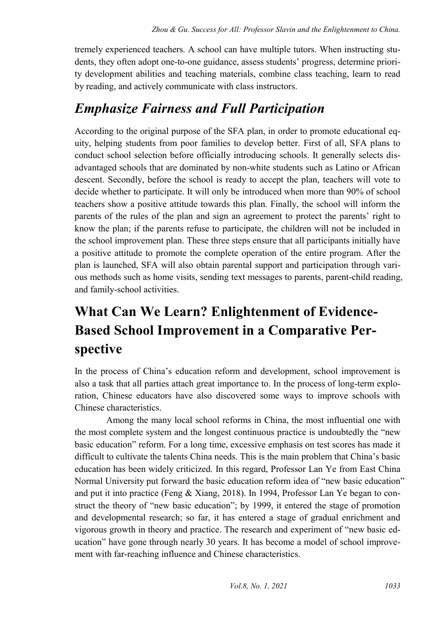tremely experienced teachers. A school can have multiple tutors. When instructing students, they often adopt one-to-one guidance, assess students' progress, determine priority development abilities and teaching materials, combine class teaching, learn to read by reading, and actively communicate with class instructors.

#### *Emphasize Fairness and Full Participation*

According to the original purpose of the SFA plan, in order to promote educational equity, helping students from poor families to develop better. First of all, SFA plans to conduct school selection before officially introducing schools. It generally selects disadvantaged schools that are dominated by non-white students such as Latino or African descent. Secondly, before the school is ready to accept the plan, teachers will vote to decide whether to participate. It will only be introduced when more than 90% of school teachers show a positive attitude towards this plan. Finally, the school will inform the parents of the rules of the plan and sign an agreement to protect the parents' right to know the plan; if the parents refuse to participate, the children will not be included in the school improvement plan. These three steps ensure that all participants initially have a positive attitude to promote the complete operation of the entire program. After the plan is launched, SFA will also obtain parental support and participation through various methods such as home visits, sending text messages to parents, parent-child reading, and family-school activities.

## **What Can We Learn? Enlightenment of Evidence-Based School Improvement in a Comparative Perspective**

In the process of China's education reform and development, school improvement is also a task that all parties attach great importance to. In the process of long-term exploration, Chinese educators have also discovered some ways to improve schools with Chinese characteristics.

Among the many local school reforms in China, the most influential one with the most complete system and the longest continuous practice is undoubtedly the "new basic education" reform. For a long time, excessive emphasis on test scores has made it difficult to cultivate the talents China needs. This is the main problem that China's basic education has been widely criticized. In this regard, Professor Lan Ye from East China Normal University put forward the basic education reform idea of "new basic education" and put it into practice (Feng & Xiang, 2018). In 1994, Professor Lan Ye began to construct the theory of "new basic education"; by 1999, it entered the stage of promotion and developmental research; so far, it has entered a stage of gradual enrichment and vigorous growth in theory and practice. The research and experiment of "new basic education" have gone through nearly 30 years. It has become a model of school improvement with far-reaching influence and Chinese characteristics.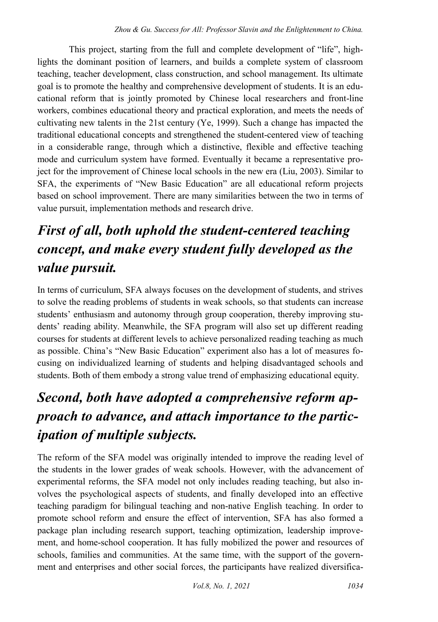This project, starting from the full and complete development of "life", highlights the dominant position of learners, and builds a complete system of classroom teaching, teacher development, class construction, and school management. Its ultimate goal is to promote the healthy and comprehensive development of students. It is an educational reform that is jointly promoted by Chinese local researchers and front-line workers, combines educational theory and practical exploration, and meets the needs of cultivating new talents in the 21st century (Ye, 1999). Such a change has impacted the traditional educational concepts and strengthened the student-centered view of teaching in a considerable range, through which a distinctive, flexible and effective teaching mode and curriculum system have formed. Eventually it became a representative project for the improvement of Chinese local schools in the new era (Liu, 2003). Similar to SFA, the experiments of "New Basic Education" are all educational reform projects based on school improvement. There are many similarities between the two in terms of value pursuit, implementation methods and research drive.

### *First of all, both uphold the student-centered teaching concept, and make every student fully developed as the value pursuit.*

In terms of curriculum, SFA always focuses on the development of students, and strives to solve the reading problems of students in weak schools, so that students can increase students' enthusiasm and autonomy through group cooperation, thereby improving students' reading ability. Meanwhile, the SFA program will also set up different reading courses for students at different levels to achieve personalized reading teaching as much as possible. China's "New Basic Education" experiment also has a lot of measures focusing on individualized learning of students and helping disadvantaged schools and students. Both of them embody a strong value trend of emphasizing educational equity.

## *Second, both have adopted a comprehensive reform approach to advance, and attach importance to the participation of multiple subjects.*

The reform of the SFA model was originally intended to improve the reading level of the students in the lower grades of weak schools. However, with the advancement of experimental reforms, the SFA model not only includes reading teaching, but also involves the psychological aspects of students, and finally developed into an effective teaching paradigm for bilingual teaching and non-native English teaching. In order to promote school reform and ensure the effect of intervention, SFA has also formed a package plan including research support, teaching optimization, leadership improvement, and home-school cooperation. It has fully mobilized the power and resources of schools, families and communities. At the same time, with the support of the government and enterprises and other social forces, the participants have realized diversifica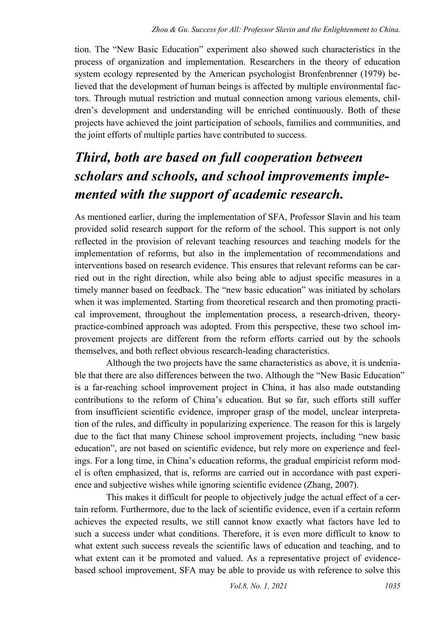tion. The "New Basic Education" experiment also showed such characteristics in the process of organization and implementation. Researchers in the theory of education system ecology represented by the American psychologist Bronfenbrenner (1979) believed that the development of human beings is affected by multiple environmental factors. Through mutual restriction and mutual connection among various elements, children's development and understanding will be enriched continuously. Both of these projects have achieved the joint participation of schools, families and communities, and the joint efforts of multiple parties have contributed to success.

## *Third, both are based on full cooperation between scholars and schools, and school improvements implemented with the support of academic research.*

As mentioned earlier, during the implementation of SFA, Professor Slavin and his team provided solid research support for the reform of the school. This support is not only reflected in the provision of relevant teaching resources and teaching models for the implementation of reforms, but also in the implementation of recommendations and interventions based on research evidence. This ensures that relevant reforms can be carried out in the right direction, while also being able to adjust specific measures in a timely manner based on feedback. The "new basic education" was initiated by scholars when it was implemented. Starting from theoretical research and then promoting practical improvement, throughout the implementation process, a research-driven, theorypractice-combined approach was adopted. From this perspective, these two school improvement projects are different from the reform efforts carried out by the schools themselves, and both reflect obvious research-leading characteristics.

Although the two projects have the same characteristics as above, it is undeniable that there are also differences between the two. Although the "New Basic Education" is a far-reaching school improvement project in China, it has also made outstanding contributions to the reform of China's education. But so far, such efforts still suffer from insufficient scientific evidence, improper grasp of the model, unclear interpretation of the rules, and difficulty in popularizing experience. The reason for this is largely due to the fact that many Chinese school improvement projects, including "new basic education", are not based on scientific evidence, but rely more on experience and feelings. For a long time, in China's education reforms, the gradual empiricist reform model is often emphasized, that is, reforms are carried out in accordance with past experience and subjective wishes while ignoring scientific evidence (Zhang, 2007).

This makes it difficult for people to objectively judge the actual effect of a certain reform. Furthermore, due to the lack of scientific evidence, even if a certain reform achieves the expected results, we still cannot know exactly what factors have led to such a success under what conditions. Therefore, it is even more difficult to know to what extent such success reveals the scientific laws of education and teaching, and to what extent can it be promoted and valued. As a representative project of evidencebased school improvement, SFA may be able to provide us with reference to solve this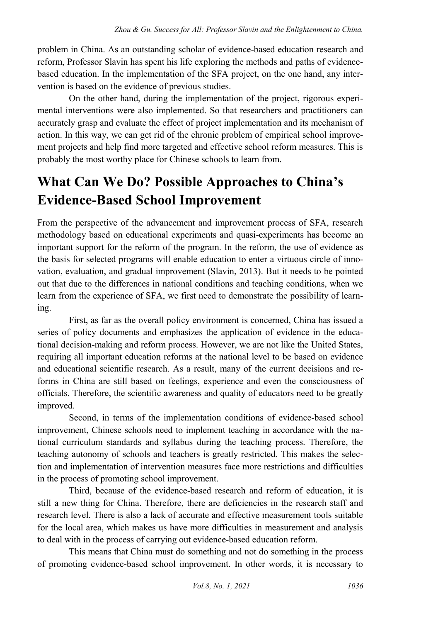problem in China. As an outstanding scholar of evidence-based education research and reform, Professor Slavin has spent his life exploring the methods and paths of evidencebased education. In the implementation of the SFA project, on the one hand, any intervention is based on the evidence of previous studies.

On the other hand, during the implementation of the project, rigorous experimental interventions were also implemented. So that researchers and practitioners can accurately grasp and evaluate the effect of project implementation and its mechanism of action. In this way, we can get rid of the chronic problem of empirical school improvement projects and help find more targeted and effective school reform measures. This is probably the most worthy place for Chinese schools to learn from.

## **What Can We Do? Possible Approaches to China's Evidence-Based School Improvement**

From the perspective of the advancement and improvement process of SFA, research methodology based on educational experiments and quasi-experiments has become an important support for the reform of the program. In the reform, the use of evidence as the basis for selected programs will enable education to enter a virtuous circle of innovation, evaluation, and gradual improvement (Slavin, 2013). But it needs to be pointed out that due to the differences in national conditions and teaching conditions, when we learn from the experience of SFA, we first need to demonstrate the possibility of learning.

First, as far as the overall policy environment is concerned, China has issued a series of policy documents and emphasizes the application of evidence in the educational decision-making and reform process. However, we are not like the United States, requiring all important education reforms at the national level to be based on evidence and educational scientific research. As a result, many of the current decisions and reforms in China are still based on feelings, experience and even the consciousness of officials. Therefore, the scientific awareness and quality of educators need to be greatly improved.

Second, in terms of the implementation conditions of evidence-based school improvement, Chinese schools need to implement teaching in accordance with the national curriculum standards and syllabus during the teaching process. Therefore, the teaching autonomy of schools and teachers is greatly restricted. This makes the selection and implementation of intervention measures face more restrictions and difficulties in the process of promoting school improvement.

Third, because of the evidence-based research and reform of education, it is still a new thing for China. Therefore, there are deficiencies in the research staff and research level. There is also a lack of accurate and effective measurement tools suitable for the local area, which makes us have more difficulties in measurement and analysis to deal with in the process of carrying out evidence-based education reform.

This means that China must do something and not do something in the process of promoting evidence-based school improvement. In other words, it is necessary to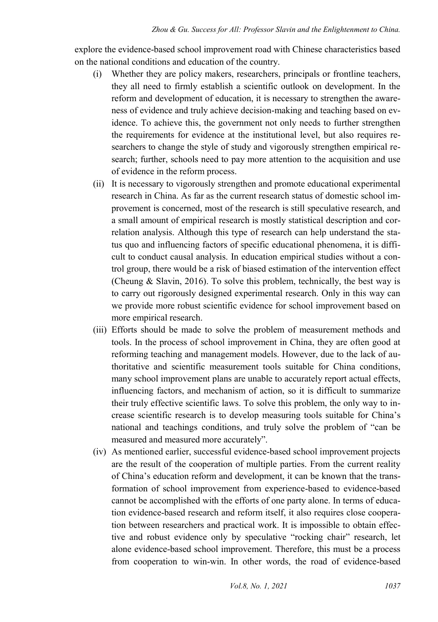explore the evidence-based school improvement road with Chinese characteristics based on the national conditions and education of the country.

- (i) Whether they are policy makers, researchers, principals or frontline teachers, they all need to firmly establish a scientific outlook on development. In the reform and development of education, it is necessary to strengthen the awareness of evidence and truly achieve decision-making and teaching based on evidence. To achieve this, the government not only needs to further strengthen the requirements for evidence at the institutional level, but also requires researchers to change the style of study and vigorously strengthen empirical research; further, schools need to pay more attention to the acquisition and use of evidence in the reform process.
- (ii) It is necessary to vigorously strengthen and promote educational experimental research in China. As far as the current research status of domestic school improvement is concerned, most of the research is still speculative research, and a small amount of empirical research is mostly statistical description and correlation analysis. Although this type of research can help understand the status quo and influencing factors of specific educational phenomena, it is difficult to conduct causal analysis. In education empirical studies without a control group, there would be a risk of biased estimation of the intervention effect (Cheung & Slavin, 2016). To solve this problem, technically, the best way is to carry out rigorously designed experimental research. Only in this way can we provide more robust scientific evidence for school improvement based on more empirical research.
- (iii) Efforts should be made to solve the problem of measurement methods and tools. In the process of school improvement in China, they are often good at reforming teaching and management models. However, due to the lack of authoritative and scientific measurement tools suitable for China conditions, many school improvement plans are unable to accurately report actual effects, influencing factors, and mechanism of action, so it is difficult to summarize their truly effective scientific laws. To solve this problem, the only way to increase scientific research is to develop measuring tools suitable for China's national and teachings conditions, and truly solve the problem of "can be measured and measured more accurately".
- (iv) As mentioned earlier, successful evidence-based school improvement projects are the result of the cooperation of multiple parties. From the current reality of China's education reform and development, it can be known that the transformation of school improvement from experience-based to evidence-based cannot be accomplished with the efforts of one party alone. In terms of education evidence-based research and reform itself, it also requires close cooperation between researchers and practical work. It is impossible to obtain effective and robust evidence only by speculative "rocking chair" research, let alone evidence-based school improvement. Therefore, this must be a process from cooperation to win-win. In other words, the road of evidence-based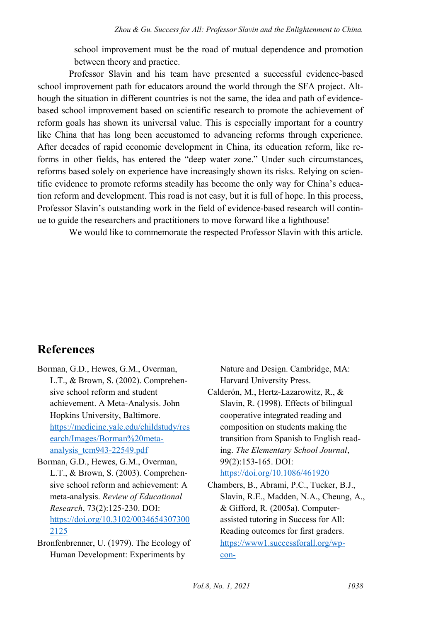school improvement must be the road of mutual dependence and promotion between theory and practice.

Professor Slavin and his team have presented a successful evidence-based school improvement path for educators around the world through the SFA project. Although the situation in different countries is not the same, the idea and path of evidencebased school improvement based on scientific research to promote the achievement of reform goals has shown its universal value. This is especially important for a country like China that has long been accustomed to advancing reforms through experience. After decades of rapid economic development in China, its education reform, like reforms in other fields, has entered the "deep water zone." Under such circumstances, reforms based solely on experience have increasingly shown its risks. Relying on scientific evidence to promote reforms steadily has become the only way for China's education reform and development. This road is not easy, but it is full of hope. In this process, Professor Slavin's outstanding work in the field of evidence-based research will continue to guide the researchers and practitioners to move forward like a lighthouse!

We would like to commemorate the respected Professor Slavin with this article.

#### **References**

- Borman, G.D., Hewes, G.M., Overman, L.T., & Brown, S. (2002). Comprehensive school reform and student achievement. A Meta-Analysis. John Hopkins University, Baltimore. [https://medicine.yale.edu/childstudy/res](https://medicine.yale.edu/childstudy/research/Images/Borman%20meta-analysis_tcm943-22549.pdf) [earch/Images/Borman%20meta](https://medicine.yale.edu/childstudy/research/Images/Borman%20meta-analysis_tcm943-22549.pdf)[analysis\\_tcm943-22549.pdf](https://medicine.yale.edu/childstudy/research/Images/Borman%20meta-analysis_tcm943-22549.pdf)
- Borman, G.D., Hewes, G.M., Overman, L.T., & Brown, S. (2003). Comprehensive school reform and achievement: A meta-analysis. *Review of Educational Research*, 73(2):125-230. DOI: [https://doi.org/10.3102/0034654307300](https://doi.org/10.3102/00346543073002125) [2125](https://doi.org/10.3102/00346543073002125)
- Bronfenbrenner, U. (1979). The Ecology of Human Development: Experiments by

Nature and Design. Cambridge, MA: Harvard University Press.

- Calderón, M., Hertz-Lazarowitz, R., & Slavin, R. (1998). Effects of bilingual cooperative integrated reading and composition on students making the transition from Spanish to English reading. *The Elementary School Journal*, 99(2):153-165. DOI: <https://doi.org/10.1086/461920>
- Chambers, B., Abrami, P.C., Tucker, B.J., Slavin, R.E., Madden, N.A., Cheung, A., & Gifford, R. (2005a). Computerassisted tutoring in Success for All: Reading outcomes for first graders. [https://www1.successforall.org/wp](https://www1.successforall.org/wp-content/uploads/2016/02/Computer_Tutor_11_20_05.pdf)[con-](https://www1.successforall.org/wp-content/uploads/2016/02/Computer_Tutor_11_20_05.pdf)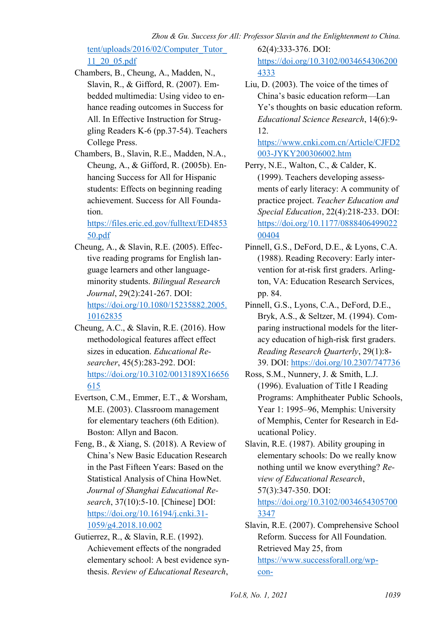tent/uploads/2016/02/Computer\_Tutor\_ 11\_20\_05.pdf

- Chambers, B., Cheung, A., Madden, N., Slavin, R., & Gifford, R. (2007). Embedded multimedia: Using video to enhance reading outcomes in Success for All. In Effective Instruction for Struggling Readers K-6 (pp.37-54). Teachers College Press.
- Chambers, B., Slavin, R.E., Madden, N.A., Cheung, A., & Gifford, R. (2005b). Enhancing Success for All for Hispanic students: Effects on beginning reading achievement. Success for All Foundation.

[https://files.eric.ed.gov/fulltext/ED4853](https://files.eric.ed.gov/fulltext/ED485350.pdf) [50.pdf](https://files.eric.ed.gov/fulltext/ED485350.pdf) 

- Cheung, A., & Slavin, R.E. (2005). Effective reading programs for English language learners and other languageminority students. *Bilingual Research Journal*, 29(2):241-267. DOI: [https://doi.org/10.1080/15235882.2005.](https://doi.org/10.1080/15235882.2005.10162835) [10162835](https://doi.org/10.1080/15235882.2005.10162835)
- Cheung, A.C., & Slavin, R.E. (2016). How methodological features affect effect sizes in education. *Educational Researcher*, 45(5):283-292. DOI: [https://doi.org/10.3102/0013189X16656](https://doi.org/10.3102/0013189X16656615) [615](https://doi.org/10.3102/0013189X16656615)
- Evertson, C.M., Emmer, E.T., & Worsham, M.E. (2003). Classroom management for elementary teachers (6th Edition). Boston: Allyn and Bacon.
- Feng, B., & Xiang, S. (2018). A Review of China's New Basic Education Research in the Past Fifteen Years: Based on the Statistical Analysis of China HowNet. *Journal of Shanghai Educational Research*, 37(10):5-10. [Chinese] DOI: [https://doi.org/10.16194/j.cnki.31-](https://doi.org/10.16194/j.cnki.31-1059/g4.2018.10.002) [1059/g4.2018.10.002](https://doi.org/10.16194/j.cnki.31-1059/g4.2018.10.002)
- Gutierrez, R., & Slavin, R.E. (1992). Achievement effects of the nongraded elementary school: A best evidence synthesis. *Review of Educational Research*,

62(4):333-376. DOI: [https://doi.org/10.3102/0034654306200](https://doi.org/10.3102/00346543062004333) [4333](https://doi.org/10.3102/00346543062004333) 

Liu, D. (2003). The voice of the times of China's basic education reform—Lan Ye's thoughts on basic education reform. *Educational Science Research*, 14(6):9- 12.

[https://www.cnki.com.cn/Article/CJFD2](https://www.cnki.com.cn/Article/CJFD2003-JYKY200306002.htm) [003-JYKY200306002.htm](https://www.cnki.com.cn/Article/CJFD2003-JYKY200306002.htm) 

- Perry, N.E., Walton, C., & Calder, K. (1999). Teachers developing assessments of early literacy: A community of practice project. *Teacher Education and Special Education*, 22(4):218-233. DOI: [https://doi.org/10.1177/0888406499022](https://doi.org/10.1177/088840649902200404) [00404](https://doi.org/10.1177/088840649902200404)
- Pinnell, G.S., DeFord, D.E., & Lyons, C.A. (1988). Reading Recovery: Early intervention for at-risk first graders. Arlington, VA: Education Research Services, pp. 84.
- Pinnell, G.S., Lyons, C.A., DeFord, D.E., Bryk, A.S., & Seltzer, M. (1994). Comparing instructional models for the literacy education of high-risk first graders. *Reading Research Quarterly*, 29(1):8- 39. DOI[: https://doi.org/10.2307/747736](https://doi.org/10.2307/747736)
- Ross, S.M., Nunnery, J. & Smith, L.J. (1996). Evaluation of Title I Reading Programs: Amphitheater Public Schools, Year 1: 1995–96, Memphis: University of Memphis, Center for Research in Educational Policy.
- Slavin, R.E. (1987). Ability grouping in elementary schools: Do we really know nothing until we know everything? *Review of Educational Research*, 57(3):347-350. DOI: [https://doi.org/10.3102/0034654305700](https://doi.org/10.3102/00346543057003347) [3347](https://doi.org/10.3102/00346543057003347)

Slavin, R.E. (2007). Comprehensive School Reform. Success for All Foundation. Retrieved May 25, from [https://www.successforall.org/wp](https://www.successforall.org/wp-content/uploads/2016/02/Comprehensive-School-Reform.pdf)[con-](https://www.successforall.org/wp-content/uploads/2016/02/Comprehensive-School-Reform.pdf)